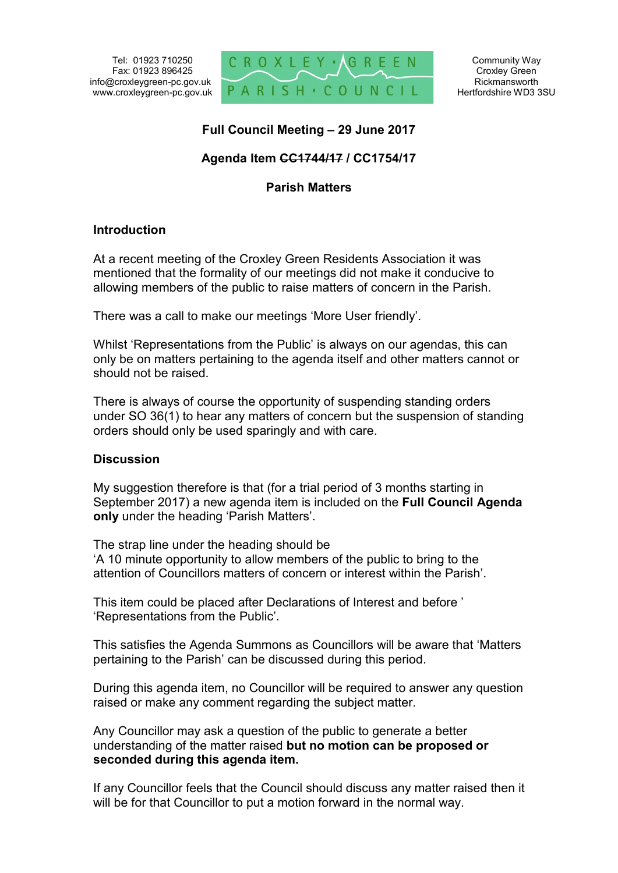Tel: 01923 710250 Fax: 01923 896425 info@croxleygreen-pc.gov.uk www.croxleygreen-pc.gov.uk



## **Full Council Meeting – 29 June 2017**

# **Agenda Item CC1744/17 / CC1754/17**

### **Parish Matters**

#### **Introduction**

At a recent meeting of the Croxley Green Residents Association it was mentioned that the formality of our meetings did not make it conducive to allowing members of the public to raise matters of concern in the Parish.

There was a call to make our meetings 'More User friendly'.

Whilst 'Representations from the Public' is always on our agendas, this can only be on matters pertaining to the agenda itself and other matters cannot or should not be raised.

There is always of course the opportunity of suspending standing orders under SO 36(1) to hear any matters of concern but the suspension of standing orders should only be used sparingly and with care.

#### **Discussion**

My suggestion therefore is that (for a trial period of 3 months starting in September 2017) a new agenda item is included on the **Full Council Agenda only** under the heading 'Parish Matters'.

The strap line under the heading should be 'A 10 minute opportunity to allow members of the public to bring to the attention of Councillors matters of concern or interest within the Parish'.

This item could be placed after Declarations of Interest and before ' 'Representations from the Public'.

This satisfies the Agenda Summons as Councillors will be aware that 'Matters pertaining to the Parish' can be discussed during this period.

During this agenda item, no Councillor will be required to answer any question raised or make any comment regarding the subject matter.

Any Councillor may ask a question of the public to generate a better understanding of the matter raised **but no motion can be proposed or seconded during this agenda item.** 

If any Councillor feels that the Council should discuss any matter raised then it will be for that Councillor to put a motion forward in the normal way.